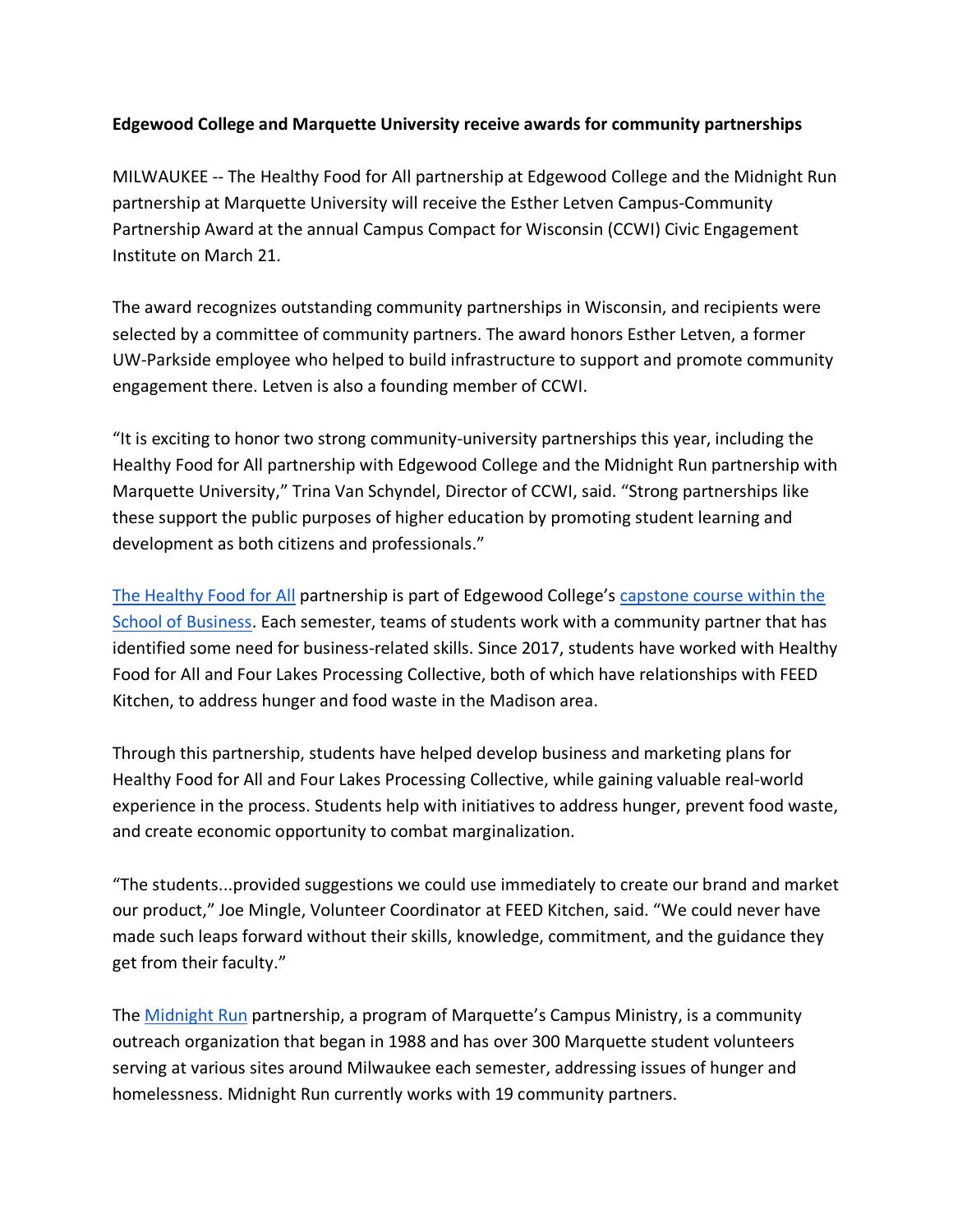## **Edgewood College and Marquette University receive awards for community partnerships**

MILWAUKEE -- The Healthy Food for All partnership at Edgewood College and the Midnight Run partnership at Marquette University will receive the Esther Letven Campus-Community Partnership Award at the annual Campus Compact for Wisconsin (CCWI) Civic Engagement Institute on March 21.

The award recognizes outstanding community partnerships in Wisconsin, and recipients were selected by a committee of community partners. The award honors Esther Letven, a former UW-Parkside employee who helped to build infrastructure to support and promote community engagement there. Letven is also a founding member of CCWI.

"It is exciting to honor two strong community-university partnerships this year, including the Healthy Food for All partnership with Edgewood College and the Midnight Run partnership with Marquette University," Trina Van Schyndel, Director of CCWI, said. "Strong partnerships like these support the public purposes of higher education by promoting student learning and development as both citizens and professionals."

The Healthy Food for All partnership is part of Edgewood College's capstone course within the School of Business. Each semester, teams of students work with a community partner that has identified some need for business-related skills. Since 2017, students have worked with Healthy Food for All and Four Lakes Processing Collective, both of which have relationships with FEED Kitchen, to address hunger and food waste in the Madison area.

Through this partnership, students have helped develop business and marketing plans for Healthy Food for All and Four Lakes Processing Collective, while gaining valuable real-world experience in the process. Students help with initiatives to address hunger, prevent food waste, and create economic opportunity to combat marginalization.

"The students...provided suggestions we could use immediately to create our brand and market our product," Joe Mingle, Volunteer Coordinator at FEED Kitchen, said. "We could never have made such leaps forward without their skills, knowledge, commitment, and the guidance they get from their faculty."

The Midnight Run partnership, a program of Marquette's Campus Ministry, is a community outreach organization that began in 1988 and has over 300 Marquette student volunteers serving at various sites around Milwaukee each semester, addressing issues of hunger and homelessness. Midnight Run currently works with 19 community partners.